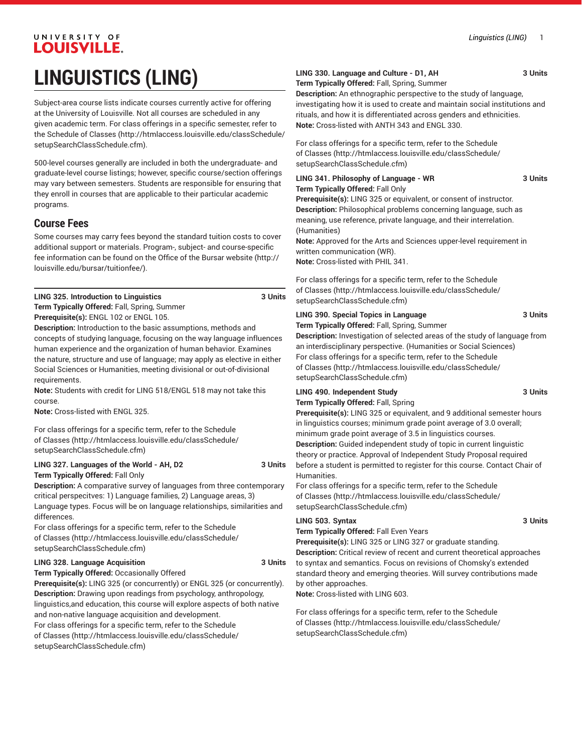# UNIVERSITY OF LOUISVILLE. **LINGUISTICS (LING)**

Subject-area course lists indicate courses currently active for offering at the University of Louisville. Not all courses are scheduled in any given academic term. For class offerings in a specific semester, refer to the [Schedule of Classes](http://htmlaccess.louisville.edu/classSchedule/setupSearchClassSchedule.cfm) ([http://htmlaccess.louisville.edu/classSchedule/](http://htmlaccess.louisville.edu/classSchedule/setupSearchClassSchedule.cfm) [setupSearchClassSchedule.cfm\)](http://htmlaccess.louisville.edu/classSchedule/setupSearchClassSchedule.cfm).

500-level courses generally are included in both the undergraduate- and graduate-level course listings; however, specific course/section offerings may vary between semesters. Students are responsible for ensuring that they enroll in courses that are applicable to their particular academic programs.

# **Course Fees**

Some courses may carry fees beyond the standard tuition costs to cover additional support or materials. Program-, subject- and course-specific fee information can be found on the [Office of the Bursar website](http://louisville.edu/bursar/tuitionfee/) ([http://](http://louisville.edu/bursar/tuitionfee/) [louisville.edu/bursar/tuitionfee/](http://louisville.edu/bursar/tuitionfee/)).

**LING 325. Introduction to Linguistics 3 Units Term Typically Offered:** Fall, Spring, Summer

**Prerequisite(s):** ENGL 102 or ENGL 105.

**Description:** Introduction to the basic assumptions, methods and concepts of studying language, focusing on the way language influences human experience and the organization of human behavior. Examines the nature, structure and use of language; may apply as elective in either Social Sciences or Humanities, meeting divisional or out-of-divisional requirements.

**Note:** Students with credit for LING 518/ENGL 518 may not take this course.

**Note:** Cross-listed with ENGL 325.

For class offerings for a specific term, refer to the [Schedule](http://htmlaccess.louisville.edu/classSchedule/setupSearchClassSchedule.cfm) [of Classes \(http://htmlaccess.louisville.edu/classSchedule/](http://htmlaccess.louisville.edu/classSchedule/setupSearchClassSchedule.cfm) [setupSearchClassSchedule.cfm\)](http://htmlaccess.louisville.edu/classSchedule/setupSearchClassSchedule.cfm)

# **LING 327. Languages of the World - AH, D2 3 Units**

**Term Typically Offered:** Fall Only

**Description:** A comparative survey of languages from three contemporary critical perspecitves: 1) Language families, 2) Language areas, 3) Language types. Focus will be on language relationships, similarities and differences.

For class offerings for a specific term, refer to the [Schedule](http://htmlaccess.louisville.edu/classSchedule/setupSearchClassSchedule.cfm) [of Classes \(http://htmlaccess.louisville.edu/classSchedule/](http://htmlaccess.louisville.edu/classSchedule/setupSearchClassSchedule.cfm) [setupSearchClassSchedule.cfm\)](http://htmlaccess.louisville.edu/classSchedule/setupSearchClassSchedule.cfm)

#### **LING 328. Language Acquisition 3 Units**

**Term Typically Offered:** Occasionally Offered **Prerequisite(s):** LING 325 (or concurrently) or ENGL 325 (or concurrently). **Description:** Drawing upon readings from psychology, anthropology, linguistics,and education, this course will explore aspects of both native and non-native language acquisition and development. For class offerings for a specific term, refer to the [Schedule](http://htmlaccess.louisville.edu/classSchedule/setupSearchClassSchedule.cfm) [of Classes \(http://htmlaccess.louisville.edu/classSchedule/](http://htmlaccess.louisville.edu/classSchedule/setupSearchClassSchedule.cfm) [setupSearchClassSchedule.cfm\)](http://htmlaccess.louisville.edu/classSchedule/setupSearchClassSchedule.cfm)

# **LING 330. Language and Culture - D1, AH 3 Units**

**Term Typically Offered:** Fall, Spring, Summer

**Description:** An ethnographic perspective to the study of language, investigating how it is used to create and maintain social institutions and rituals, and how it is differentiated across genders and ethnicities. **Note:** Cross-listed with ANTH 343 and ENGL 330.

For class offerings for a specific term, refer to the [Schedule](http://htmlaccess.louisville.edu/classSchedule/setupSearchClassSchedule.cfm) [of Classes](http://htmlaccess.louisville.edu/classSchedule/setupSearchClassSchedule.cfm) ([http://htmlaccess.louisville.edu/classSchedule/](http://htmlaccess.louisville.edu/classSchedule/setupSearchClassSchedule.cfm) [setupSearchClassSchedule.cfm\)](http://htmlaccess.louisville.edu/classSchedule/setupSearchClassSchedule.cfm)

#### **LING 341. Philosophy of Language - WR 3 Units Term Typically Offered:** Fall Only

**Prerequisite(s):** LING 325 or equivalent, or consent of instructor. **Description:** Philosophical problems concerning language, such as meaning, use reference, private language, and their interrelation. (Humanities)

**Note:** Approved for the Arts and Sciences upper-level requirement in written communication (WR).

**Note:** Cross-listed with PHIL 341.

For class offerings for a specific term, refer to the [Schedule](http://htmlaccess.louisville.edu/classSchedule/setupSearchClassSchedule.cfm) [of Classes](http://htmlaccess.louisville.edu/classSchedule/setupSearchClassSchedule.cfm) ([http://htmlaccess.louisville.edu/classSchedule/](http://htmlaccess.louisville.edu/classSchedule/setupSearchClassSchedule.cfm) [setupSearchClassSchedule.cfm\)](http://htmlaccess.louisville.edu/classSchedule/setupSearchClassSchedule.cfm)

## **LING 390. Special Topics in Language 3 Units**

**Term Typically Offered:** Fall, Spring, Summer **Description:** Investigation of selected areas of the study of language from an interdisciplinary perspective. (Humanities or Social Sciences) For class offerings for a specific term, refer to the [Schedule](http://htmlaccess.louisville.edu/classSchedule/setupSearchClassSchedule.cfm) [of Classes](http://htmlaccess.louisville.edu/classSchedule/setupSearchClassSchedule.cfm) ([http://htmlaccess.louisville.edu/classSchedule/](http://htmlaccess.louisville.edu/classSchedule/setupSearchClassSchedule.cfm) [setupSearchClassSchedule.cfm\)](http://htmlaccess.louisville.edu/classSchedule/setupSearchClassSchedule.cfm)

### **LING 490. Independent Study 3 Units**

**Term Typically Offered:** Fall, Spring

**Prerequisite(s):** LING 325 or equivalent, and 9 additional semester hours in linguistics courses; minimum grade point average of 3.0 overall; minimum grade point average of 3.5 in linguistics courses. **Description:** Guided independent study of topic in current linguistic theory or practice. Approval of Independent Study Proposal required before a student is permitted to register for this course. Contact Chair of Humanities.

For class offerings for a specific term, refer to the [Schedule](http://htmlaccess.louisville.edu/classSchedule/setupSearchClassSchedule.cfm) [of Classes](http://htmlaccess.louisville.edu/classSchedule/setupSearchClassSchedule.cfm) ([http://htmlaccess.louisville.edu/classSchedule/](http://htmlaccess.louisville.edu/classSchedule/setupSearchClassSchedule.cfm) [setupSearchClassSchedule.cfm\)](http://htmlaccess.louisville.edu/classSchedule/setupSearchClassSchedule.cfm)

## LING 503. Syntax 3 Units

**Term Typically Offered:** Fall Even Years

**Prerequisite(s):** LING 325 or LING 327 or graduate standing. **Description:** Critical review of recent and current theoretical approaches to syntax and semantics. Focus on revisions of Chomsky's extended standard theory and emerging theories. Will survey contributions made by other approaches.

**Note:** Cross-listed with LING 603.

For class offerings for a specific term, refer to the [Schedule](http://htmlaccess.louisville.edu/classSchedule/setupSearchClassSchedule.cfm) [of Classes](http://htmlaccess.louisville.edu/classSchedule/setupSearchClassSchedule.cfm) ([http://htmlaccess.louisville.edu/classSchedule/](http://htmlaccess.louisville.edu/classSchedule/setupSearchClassSchedule.cfm) [setupSearchClassSchedule.cfm\)](http://htmlaccess.louisville.edu/classSchedule/setupSearchClassSchedule.cfm)